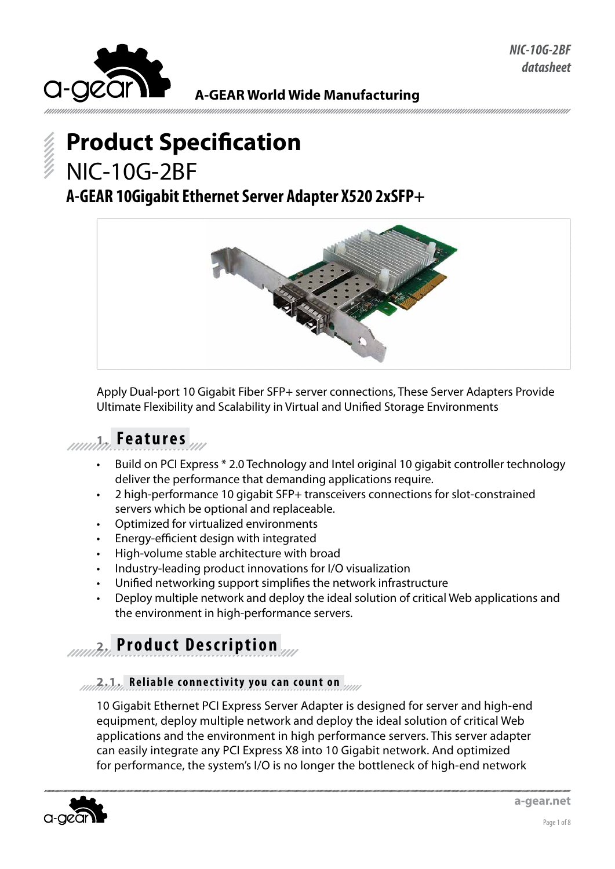

#### **A-GEAR World Wide Manufacturing**

# **Product Specification** NIC-10G-2BF

### **A-GEAR 10Gigabit Ethernet Server Adapter X520 2xSFP+**



Apply Dual-port 10 Gigabit Fiber SFP+ server connections, These Server Adapters Provide Ultimate Flexibility and Scalability in Virtual and Unified Storage Environments

### **1. Features**

- Build on PCI Express \* 2.0 Technology and Intel original 10 gigabit controller technology deliver the performance that demanding applications require.
- 2 high-performance 10 gigabit SFP+ transceivers connections for slot-constrained servers which be optional and replaceable.
- Optimized for virtualized environments
- Energy-efficient design with integrated
- High-volume stable architecture with broad
- Industry-leading product innovations for I/O visualization
- Unified networking support simplifies the network infrastructure
- Deploy multiple network and deploy the ideal solution of critical Web applications and the environment in high-performance servers.

### **2. Product Description**

#### **2.1. Reliable connectivity you can count on**

10 Gigabit Ethernet PCI Express Server Adapter is designed for server and high-end equipment, deploy multiple network and deploy the ideal solution of critical Web applications and the environment in high performance servers. This server adapter can easily integrate any PCI Express X8 into 10 Gigabit network. And optimized for performance, the system's I/O is no longer the bottleneck of high-end network

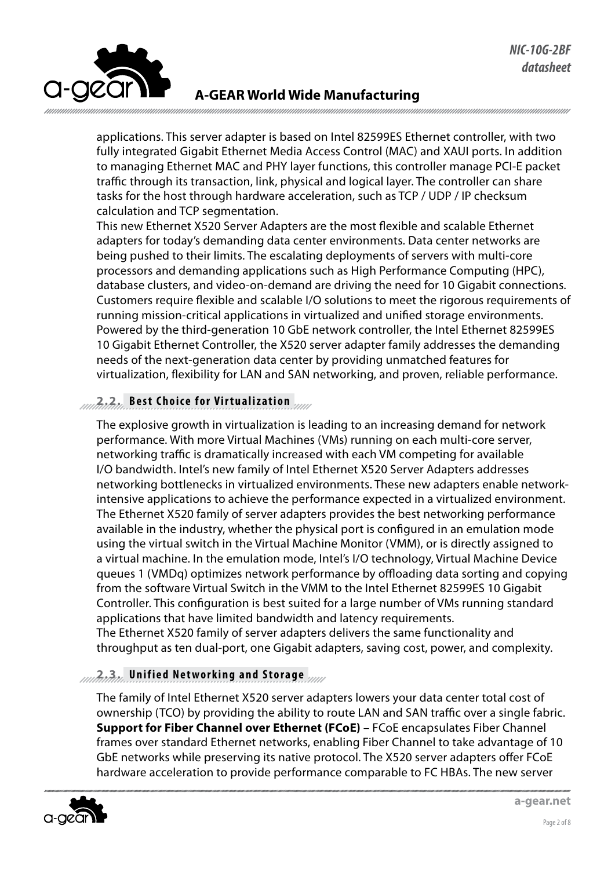

applications. This server adapter is based on Intel 82599ES Ethernet controller, with two fully integrated Gigabit Ethernet Media Access Control (MAC) and XAUI ports. In addition to managing Ethernet MAC and PHY layer functions, this controller manage PCI-E packet traffic through its transaction, link, physical and logical layer. The controller can share tasks for the host through hardware acceleration, such as TCP / UDP / IP checksum calculation and TCP segmentation.

This new Ethernet X520 Server Adapters are the most flexible and scalable Ethernet adapters for today's demanding data center environments. Data center networks are being pushed to their limits. The escalating deployments of servers with multi-core processors and demanding applications such as High Performance Computing (HPC), database clusters, and video-on-demand are driving the need for 10 Gigabit connections. Customers require flexible and scalable I/O solutions to meet the rigorous requirements of running mission-critical applications in virtualized and unified storage environments. Powered by the third-generation 10 GbE network controller, the Intel Ethernet 82599ES 10 Gigabit Ethernet Controller, the X520 server adapter family addresses the demanding needs of the next-generation data center by providing unmatched features for virtualization, flexibility for LAN and SAN networking, and proven, reliable performance.

#### **2.2. Best Choice for Virtualization**

The explosive growth in virtualization is leading to an increasing demand for network performance. With more Virtual Machines (VMs) running on each multi-core server, networking traffic is dramatically increased with each VM competing for available I/O bandwidth. Intel's new family of Intel Ethernet X520 Server Adapters addresses networking bottlenecks in virtualized environments. These new adapters enable networkintensive applications to achieve the performance expected in a virtualized environment. The Ethernet X520 family of server adapters provides the best networking performance available in the industry, whether the physical port is configured in an emulation mode using the virtual switch in the Virtual Machine Monitor (VMM), or is directly assigned to a virtual machine. In the emulation mode, Intel's I/O technology, Virtual Machine Device queues 1 (VMDq) optimizes network performance by offloading data sorting and copying from the software Virtual Switch in the VMM to the Intel Ethernet 82599ES 10 Gigabit Controller. This configuration is best suited for a large number of VMs running standard applications that have limited bandwidth and latency requirements. The Ethernet X520 family of server adapters delivers the same functionality and throughput as ten dual-port, one Gigabit adapters, saving cost, power, and complexity.

#### **2.3. Unified Networking and Storage**

The family of Intel Ethernet X520 server adapters lowers your data center total cost of ownership (TCO) by providing the ability to route LAN and SAN traffic over a single fabric. **Support for Fiber Channel over Ethernet (FCoE)** – FCoE encapsulates Fiber Channel frames over standard Ethernet networks, enabling Fiber Channel to take advantage of 10 GbE networks while preserving its native protocol. The X520 server adapters offer FCoE hardware acceleration to provide performance comparable to FC HBAs. The new server

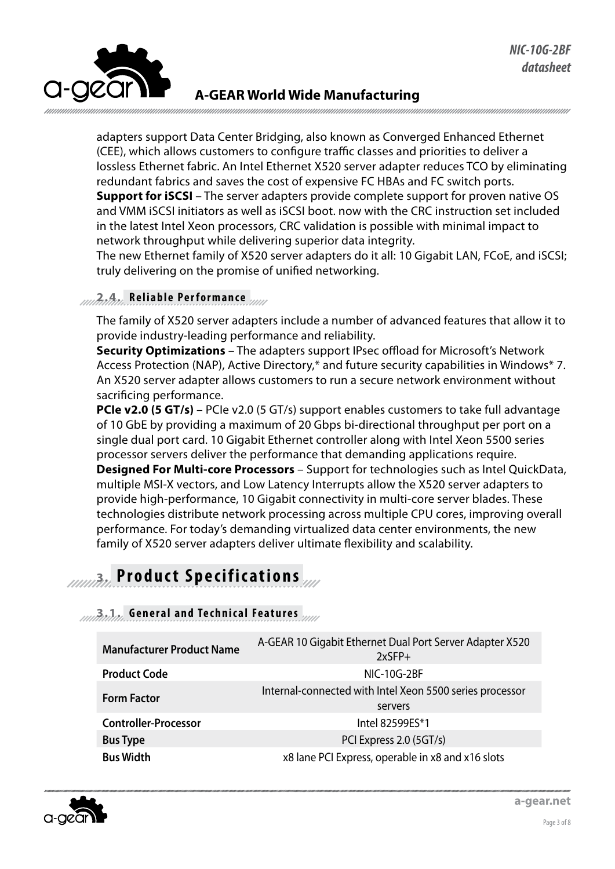

adapters support Data Center Bridging, also known as Converged Enhanced Ethernet (CEE), which allows customers to configure traffic classes and priorities to deliver a lossless Ethernet fabric. An Intel Ethernet X520 server adapter reduces TCO by eliminating redundant fabrics and saves the cost of expensive FC HBAs and FC switch ports. **Support for iSCSI** – The server adapters provide complete support for proven native OS and VMM iSCSI initiators as well as iSCSI boot. now with the CRC instruction set included in the latest Intel Xeon processors, CRC validation is possible with minimal impact to network throughput while delivering superior data integrity.

The new Ethernet family of X520 server adapters do it all: 10 Gigabit LAN, FCoE, and iSCSI; truly delivering on the promise of unified networking.

#### **2.4. Reliable Performance**

The family of X520 server adapters include a number of advanced features that allow it to provide industry-leading performance and reliability.

**Security Optimizations** – The adapters support IPsec offload for Microsoft's Network Access Protection (NAP), Active Directory,\* and future security capabilities in Windows\* 7. An X520 server adapter allows customers to run a secure network environment without sacrificing performance.

**PCIe v2.0 (5 GT/s)** – PCIe v2.0 (5 GT/s) support enables customers to take full advantage of 10 GbE by providing a maximum of 20 Gbps bi-directional throughput per port on a single dual port card. 10 Gigabit Ethernet controller along with Intel Xeon 5500 series processor servers deliver the performance that demanding applications require. **Designed For Multi-core Processors** – Support for technologies such as Intel QuickData, multiple MSI-X vectors, and Low Latency Interrupts allow the X520 server adapters to provide high-performance, 10 Gigabit connectivity in multi-core server blades. These technologies distribute network processing across multiple CPU cores, improving overall performance. For today's demanding virtualized data center environments, the new family of X520 server adapters deliver ultimate flexibility and scalability.

### **3. Product Specifications**

#### **3.1. General and Technical Features**

| <b>Manufacturer Product Name</b> | A-GEAR 10 Gigabit Ethernet Dual Port Server Adapter X520<br>$2x$ SFP+ |
|----------------------------------|-----------------------------------------------------------------------|
| <b>Product Code</b>              | <b>NIC-10G-2BF</b>                                                    |
| <b>Form Factor</b>               | Internal-connected with Intel Xeon 5500 series processor<br>servers   |
| <b>Controller-Processor</b>      | Intel 82599ES*1                                                       |
| <b>Bus Type</b>                  | PCI Express 2.0 (5GT/s)                                               |
| <b>Bus Width</b>                 | x8 lane PCI Express, operable in x8 and x16 slots                     |

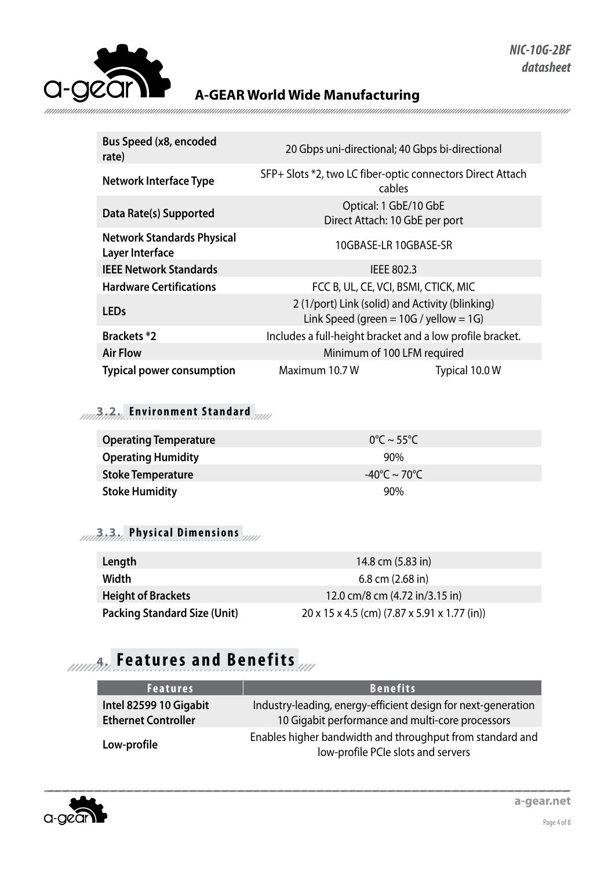

| 20 Gbps uni-directional; 40 Gbps bi-directional                                                |                       |
|------------------------------------------------------------------------------------------------|-----------------------|
| SFP+ Slots *2, two LC fiber-optic connectors Direct Attach<br>cables                           |                       |
| Optical: 1 GbE/10 GbE<br>Direct Attach: 10 GbE per port                                        |                       |
|                                                                                                | 10GBASE-LR 10GBASE-SR |
| IEEE 802.3                                                                                     |                       |
| FCC B, UL, CE, VCI, BSMI, CTICK, MIC                                                           |                       |
| 2 (1/port) Link (solid) and Activity (blinking)<br>Link Speed (green $= 10G /$ yellow $= 1G$ ) |                       |
| Includes a full-height bracket and a low profile bracket.                                      |                       |
| Minimum of 100 LFM required                                                                    |                       |
| Maximum 10.7 W                                                                                 | Typical 10.0 W        |
|                                                                                                |                       |

### **3.2. Environment Standard**

| <b>Operating Temperature</b> | $0^{\circ}$ C ~ 55°C   |  |
|------------------------------|------------------------|--|
| <b>Operating Humidity</b>    | 90%                    |  |
| <b>Stoke Temperature</b>     | -40°C $\sim$ 70°C $\,$ |  |
| <b>Stoke Humidity</b>        | 90%                    |  |

#### **3.3. Physical Dimensions**

| Length                              | 14.8 cm (5.83 in)                                        |
|-------------------------------------|----------------------------------------------------------|
| Width                               | $6.8$ cm $(2.68$ in)                                     |
| <b>Height of Brackets</b>           | 12.0 cm/8 cm (4.72 in/3.15 in)                           |
| <b>Packing Standard Size (Unit)</b> | $20 \times 15 \times 4.5$ (cm) (7.87 x 5.91 x 1.77 (in)) |

## **4. Features and Benefits**

| <b>Features</b>                                      | <b>Benefits</b>                                                                                                   |
|------------------------------------------------------|-------------------------------------------------------------------------------------------------------------------|
| Intel 82599 10 Gigabit<br><b>Ethernet Controller</b> | Industry-leading, energy-efficient design for next-generation<br>10 Gigabit performance and multi-core processors |
| Low-profile                                          | Enables higher bandwidth and throughput from standard and<br>low-profile PCIe slots and servers                   |

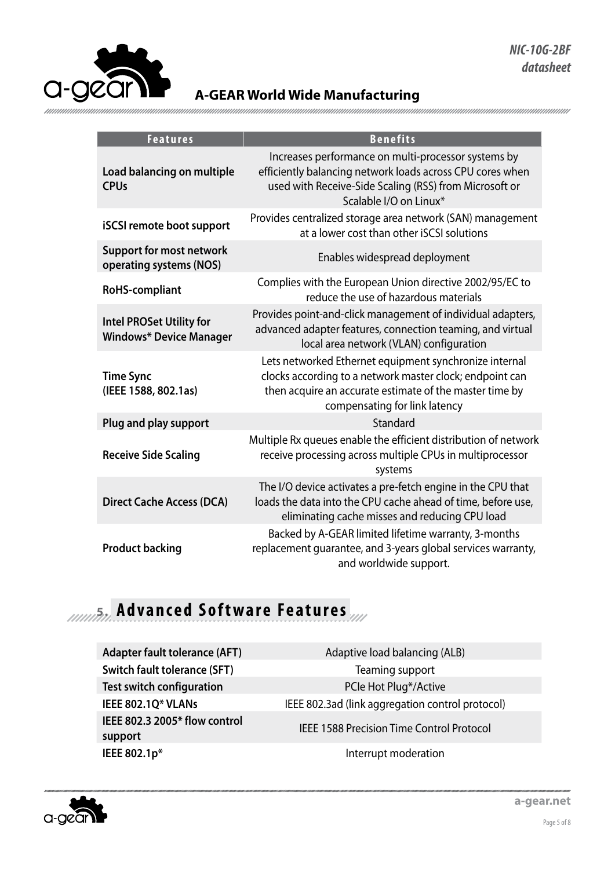

| <b>Features</b>                                                   | <b>Benefits</b>                                                                                                                                                                                                |
|-------------------------------------------------------------------|----------------------------------------------------------------------------------------------------------------------------------------------------------------------------------------------------------------|
| Load balancing on multiple<br><b>CPUs</b>                         | Increases performance on multi-processor systems by<br>efficiently balancing network loads across CPU cores when<br>used with Receive-Side Scaling (RSS) from Microsoft or<br>Scalable I/O on Linux*           |
| <b>iSCSI</b> remote boot support                                  | Provides centralized storage area network (SAN) management<br>at a lower cost than other iSCSI solutions                                                                                                       |
| <b>Support for most network</b><br>operating systems (NOS)        | Enables widespread deployment                                                                                                                                                                                  |
| <b>RoHS-compliant</b>                                             | Complies with the European Union directive 2002/95/EC to<br>reduce the use of hazardous materials                                                                                                              |
| <b>Intel PROSet Utility for</b><br><b>Windows* Device Manager</b> | Provides point-and-click management of individual adapters,<br>advanced adapter features, connection teaming, and virtual<br>local area network (VLAN) configuration                                           |
| <b>Time Sync</b><br>(IEEE 1588, 802.1as)                          | Lets networked Ethernet equipment synchronize internal<br>clocks according to a network master clock; endpoint can<br>then acquire an accurate estimate of the master time by<br>compensating for link latency |
| Plug and play support                                             | Standard                                                                                                                                                                                                       |
| <b>Receive Side Scaling</b>                                       | Multiple Rx queues enable the efficient distribution of network<br>receive processing across multiple CPUs in multiprocessor<br>systems                                                                        |
| <b>Direct Cache Access (DCA)</b>                                  | The I/O device activates a pre-fetch engine in the CPU that<br>loads the data into the CPU cache ahead of time, before use,<br>eliminating cache misses and reducing CPU load                                  |
| <b>Product backing</b>                                            | Backed by A-GEAR limited lifetime warranty, 3-months<br>replacement guarantee, and 3-years global services warranty,<br>and worldwide support.                                                                 |

### **Advanced Software Features**

| <b>Adapter fault tolerance (AFT)</b> |
|--------------------------------------|
| <b>Switch fault tolerance (SFT)</b>  |
| <b>Test switch configuration</b>     |
| IEEE 802.1Q* VLANs                   |
| IEEE 802.3 2005* flow control        |
| support                              |
| IEEE 802.1p*                         |
|                                      |

Adaptive load balancing (ALB) **Teaming support** PCIe Hot Plug<sup>\*</sup>/Active **IEEE 802.3ad (link aggregation control protocol) IEEE 1588 Precision Time Control Protocol Interrupt moderation** 

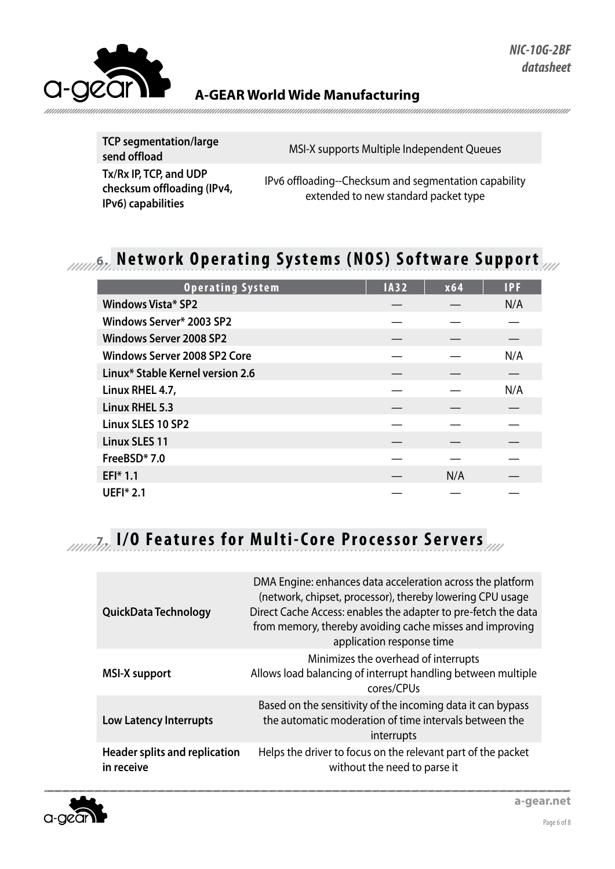

**TCP segmentation/large Send offload** Send offload<br> **Send offload**<br> **Send offload Tx/Rx IP, TCP, and UDP checksum offloading (IPv4, IPv6) capabilities** IPv6 offloading--Checksum and segmentation capability extended to new standard packet type

### *Munita***</del> Network Operating Systems (NOS) Software Support**

| <b>Operating System</b>          | <b>IA32</b> | x64 | <b>IPF</b> |
|----------------------------------|-------------|-----|------------|
| <b>Windows Vista* SP2</b>        |             |     | N/A        |
| Windows Server* 2003 SP2         |             |     |            |
| <b>Windows Server 2008 SP2</b>   |             |     |            |
| Windows Server 2008 SP2 Core     |             |     | N/A        |
| Linux* Stable Kernel version 2.6 |             |     |            |
| Linux RHEL 4.7,                  |             |     | N/A        |
| Linux RHEL 5.3                   |             |     |            |
| Linux SLES 10 SP2                |             |     |            |
| <b>Linux SLES 11</b>             |             |     |            |
| FreeBSD*7.0                      |             |     |            |
| EFI* 1.1                         |             | N/A |            |
| <b>UEFI* 2.1</b>                 |             |     |            |

### **7. I/O Features for Multi-Core Processor Servers**

| QuickData Technology                        | DMA Engine: enhances data acceleration across the platform<br>(network, chipset, processor), thereby lowering CPU usage<br>Direct Cache Access: enables the adapter to pre-fetch the data<br>from memory, thereby avoiding cache misses and improving<br>application response time |
|---------------------------------------------|------------------------------------------------------------------------------------------------------------------------------------------------------------------------------------------------------------------------------------------------------------------------------------|
| <b>MSI-X support</b>                        | Minimizes the overhead of interrupts<br>Allows load balancing of interrupt handling between multiple<br>cores/CPUs                                                                                                                                                                 |
| Low Latency Interrupts                      | Based on the sensitivity of the incoming data it can bypass<br>the automatic moderation of time intervals between the<br>interrupts                                                                                                                                                |
| Header splits and replication<br>in receive | Helps the driver to focus on the relevant part of the packet<br>without the need to parse it                                                                                                                                                                                       |

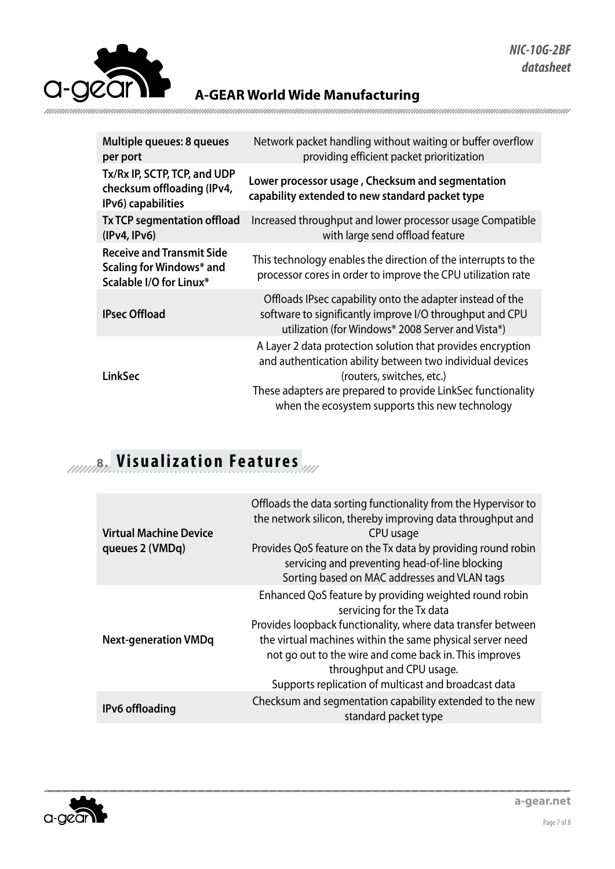| Multiple queues: 8 queues<br>per port                                                   | Network packet handling without waiting or buffer overflow<br>providing efficient packet prioritization                                                                                                                                                                  |
|-----------------------------------------------------------------------------------------|--------------------------------------------------------------------------------------------------------------------------------------------------------------------------------------------------------------------------------------------------------------------------|
| Tx/Rx IP, SCTP, TCP, and UDP<br>checksum offloading (IPv4,<br>IPv6) capabilities        | Lower processor usage, Checksum and segmentation<br>capability extended to new standard packet type                                                                                                                                                                      |
| <b>Tx TCP segmentation offload</b><br>(IPy4, IPv6)                                      | Increased throughput and lower processor usage Compatible<br>with large send offload feature                                                                                                                                                                             |
| <b>Receive and Transmit Side</b><br>Scaling for Windows* and<br>Scalable I/O for Linux* | This technology enables the direction of the interrupts to the<br>processor cores in order to improve the CPU utilization rate                                                                                                                                           |
| <b>IPsec Offload</b>                                                                    | Offloads IPsec capability onto the adapter instead of the<br>software to significantly improve I/O throughput and CPU<br>utilization (for Windows* 2008 Server and Vista*)                                                                                               |
| LinkSec                                                                                 | A Layer 2 data protection solution that provides encryption<br>and authentication ability between two individual devices<br>(routers, switches, etc.)<br>These adapters are prepared to provide LinkSec functionality<br>when the ecosystem supports this new technology |

### **8. Visualization Features**

| <b>Virtual Machine Device</b><br>queues 2 (VMDq) | Offloads the data sorting functionality from the Hypervisor to<br>the network silicon, thereby improving data throughput and<br>CPU usage<br>Provides QoS feature on the Tx data by providing round robin<br>servicing and preventing head-of-line blocking<br>Sorting based on MAC addresses and VLAN tags                                                     |
|--------------------------------------------------|-----------------------------------------------------------------------------------------------------------------------------------------------------------------------------------------------------------------------------------------------------------------------------------------------------------------------------------------------------------------|
| <b>Next-generation VMDq</b>                      | Enhanced QoS feature by providing weighted round robin<br>servicing for the Tx data<br>Provides loopback functionality, where data transfer between<br>the virtual machines within the same physical server need<br>not go out to the wire and come back in. This improves<br>throughput and CPU usage.<br>Supports replication of multicast and broadcast data |
| IPv6 offloading                                  | Checksum and segmentation capability extended to the new<br>standard packet type                                                                                                                                                                                                                                                                                |